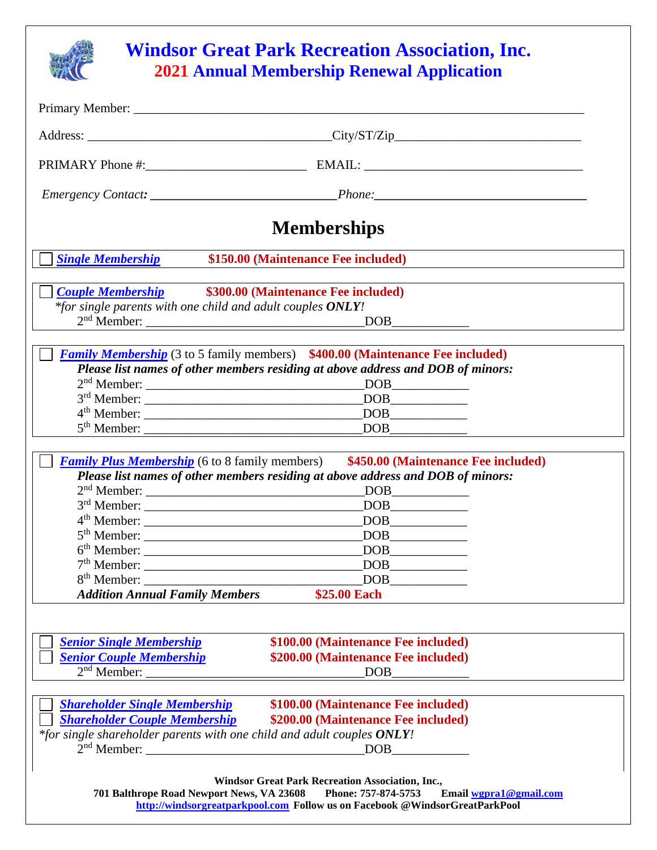

## **Windsor Great Park Recreation Association, Inc. 2021 Annual Membership Renewal Application**

|                                                                                                                                                        | <b>Memberships</b>                                                                                                                                                                                                                                                                                                                                                              |
|--------------------------------------------------------------------------------------------------------------------------------------------------------|---------------------------------------------------------------------------------------------------------------------------------------------------------------------------------------------------------------------------------------------------------------------------------------------------------------------------------------------------------------------------------|
| <b>Single Membership</b>                                                                                                                               | \$150.00 (Maintenance Fee included)                                                                                                                                                                                                                                                                                                                                             |
| <b>Couple Membership</b> \$300.00 (Maintenance Fee included)                                                                                           |                                                                                                                                                                                                                                                                                                                                                                                 |
| *for single parents with one child and adult couples ONLY!                                                                                             | $DOB$ $\qquad \qquad$                                                                                                                                                                                                                                                                                                                                                           |
|                                                                                                                                                        | <b>Family Membership</b> (3 to 5 family members) \$400.00 (Maintenance Fee included)<br>Please list names of other members residing at above address and DOB of minors:<br>$\boxed{\text{DOB}}_{\text{max}}$                                                                                                                                                                    |
| <b>Family Plus Membership</b> (6 to 8 family members)                                                                                                  | \$450.00 (Maintenance Fee included)<br>Please list names of other members residing at above address and DOB of minors:                                                                                                                                                                                                                                                          |
| $2nd$ Member:                                                                                                                                          |                                                                                                                                                                                                                                                                                                                                                                                 |
|                                                                                                                                                        | $\boxed{\text{DOB}\_\_}$                                                                                                                                                                                                                                                                                                                                                        |
| $4th$ Member:<br>$5th$ Member:                                                                                                                         | $\begin{picture}(150,10) \put(0,0){\line(1,0){10}} \put(15,0){\line(1,0){10}} \put(15,0){\line(1,0){10}} \put(15,0){\line(1,0){10}} \put(15,0){\line(1,0){10}} \put(15,0){\line(1,0){10}} \put(15,0){\line(1,0){10}} \put(15,0){\line(1,0){10}} \put(15,0){\line(1,0){10}} \put(15,0){\line(1,0){10}} \put(15,0){\line(1,0){10}} \put(15,0){\line($<br>$\boxed{\text{DOB}\_\_}$ |
|                                                                                                                                                        | DOB                                                                                                                                                                                                                                                                                                                                                                             |
| 7 <sup>th</sup> Member:                                                                                                                                | DOB                                                                                                                                                                                                                                                                                                                                                                             |
| 8 <sup>th</sup> Member:                                                                                                                                | <b>DOB</b>                                                                                                                                                                                                                                                                                                                                                                      |
| <b>Addition Annual Family Members</b>                                                                                                                  | \$25.00 Each                                                                                                                                                                                                                                                                                                                                                                    |
| <b>Senior Single Membership</b><br><b>Senior Couple Membership</b>                                                                                     | \$100.00 (Maintenance Fee included)<br>\$200.00 (Maintenance Fee included)<br>$\overline{\text{DOB}}$                                                                                                                                                                                                                                                                           |
| <b>Shareholder Single Membership</b><br><b>Shareholder Couple Membership</b><br>*for single shareholder parents with one child and adult couples ONLY! | \$100.00 (Maintenance Fee included)<br>\$200.00 (Maintenance Fee included)                                                                                                                                                                                                                                                                                                      |
| 701 Balthrope Road Newport News, VA 23608                                                                                                              | <b>Windsor Great Park Recreation Association, Inc.,</b><br>Phone: 757-874-5753<br>Email wgpra1@gmail.com<br>http://windsorgreatparkpool.com Follow us on Facebook @WindsorGreatParkPool                                                                                                                                                                                         |